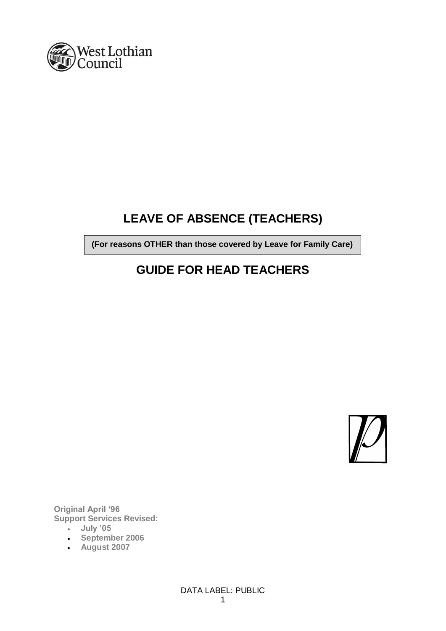

# **LEAVE OF ABSENCE (TEACHERS)**

**(For reasons OTHER than those covered by Leave for Family Care)**

# **GUIDE FOR HEAD TEACHERS**



**Original April '96 Support Services Revised:**

- **July '05**
- **September 2006**
- **August 2007**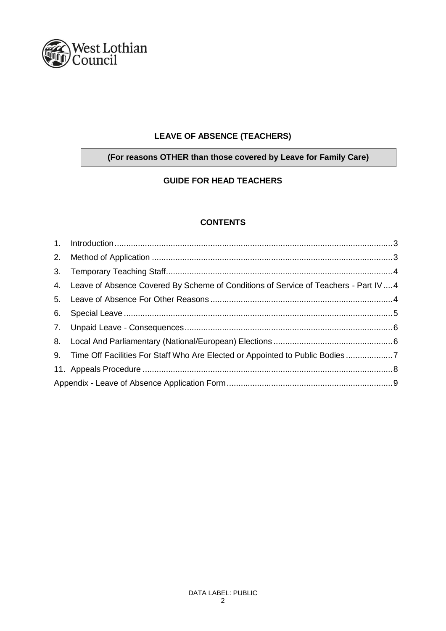

# **LEAVE OF ABSENCE (TEACHERS)**

# **(For reasons OTHER than those covered by Leave for Family Care)**

# **GUIDE FOR HEAD TEACHERS**

# **CONTENTS**

| 4. Leave of Absence Covered By Scheme of Conditions of Service of Teachers - Part IV  4 |  |
|-----------------------------------------------------------------------------------------|--|
|                                                                                         |  |
|                                                                                         |  |
|                                                                                         |  |
|                                                                                         |  |
| 9. Time Off Facilities For Staff Who Are Elected or Appointed to Public Bodies7         |  |
|                                                                                         |  |
|                                                                                         |  |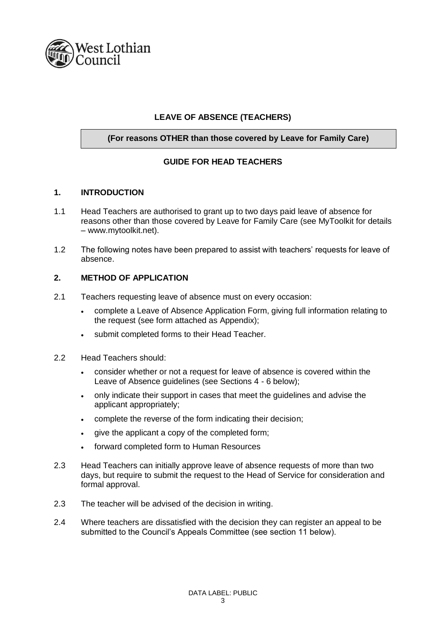

# **LEAVE OF ABSENCE (TEACHERS)**

## **(For reasons OTHER than those covered by Leave for Family Care)**

# **GUIDE FOR HEAD TEACHERS**

#### **1. INTRODUCTION**

- 1.1 Head Teachers are authorised to grant up to two days paid leave of absence for reasons other than those covered by Leave for Family Care (see MyToolkit for details – www.mytoolkit.net).
- 1.2 The following notes have been prepared to assist with teachers' requests for leave of absence.

### **2. METHOD OF APPLICATION**

- 2.1 Teachers requesting leave of absence must on every occasion:
	- complete a Leave of Absence Application Form, giving full information relating to the request (see form attached as Appendix);
	- submit completed forms to their Head Teacher.
- 2.2 Head Teachers should:
	- consider whether or not a request for leave of absence is covered within the Leave of Absence guidelines (see Sections 4 - 6 below);
	- only indicate their support in cases that meet the guidelines and advise the applicant appropriately;
	- complete the reverse of the form indicating their decision;
	- give the applicant a copy of the completed form;
	- forward completed form to Human Resources
- 2.3 Head Teachers can initially approve leave of absence requests of more than two days, but require to submit the request to the Head of Service for consideration and formal approval.
- 2.3 The teacher will be advised of the decision in writing.
- 2.4 Where teachers are dissatisfied with the decision they can register an appeal to be submitted to the Council's Appeals Committee (see section 11 below).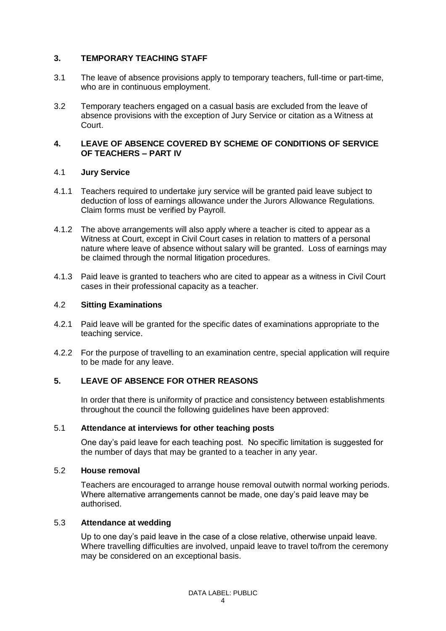## **3. TEMPORARY TEACHING STAFF**

- 3.1 The leave of absence provisions apply to temporary teachers, full-time or part-time, who are in continuous employment.
- 3.2 Temporary teachers engaged on a casual basis are excluded from the leave of absence provisions with the exception of Jury Service or citation as a Witness at Court.

## **4. LEAVE OF ABSENCE COVERED BY SCHEME OF CONDITIONS OF SERVICE OF TEACHERS – PART IV**

### 4.1 **Jury Service**

- 4.1.1 Teachers required to undertake jury service will be granted paid leave subject to deduction of loss of earnings allowance under the Jurors Allowance Regulations. Claim forms must be verified by Payroll.
- 4.1.2 The above arrangements will also apply where a teacher is cited to appear as a Witness at Court, except in Civil Court cases in relation to matters of a personal nature where leave of absence without salary will be granted. Loss of earnings may be claimed through the normal litigation procedures.
- 4.1.3 Paid leave is granted to teachers who are cited to appear as a witness in Civil Court cases in their professional capacity as a teacher.

## 4.2 **Sitting Examinations**

- 4.2.1 Paid leave will be granted for the specific dates of examinations appropriate to the teaching service.
- 4.2.2 For the purpose of travelling to an examination centre, special application will require to be made for any leave.

# **5. LEAVE OF ABSENCE FOR OTHER REASONS**

In order that there is uniformity of practice and consistency between establishments throughout the council the following guidelines have been approved:

### 5.1 **Attendance at interviews for other teaching posts**

One day's paid leave for each teaching post. No specific limitation is suggested for the number of days that may be granted to a teacher in any year.

### 5.2 **House removal**

Teachers are encouraged to arrange house removal outwith normal working periods. Where alternative arrangements cannot be made, one day's paid leave may be authorised.

### 5.3 **Attendance at wedding**

Up to one day's paid leave in the case of a close relative, otherwise unpaid leave. Where travelling difficulties are involved, unpaid leave to travel to/from the ceremony may be considered on an exceptional basis.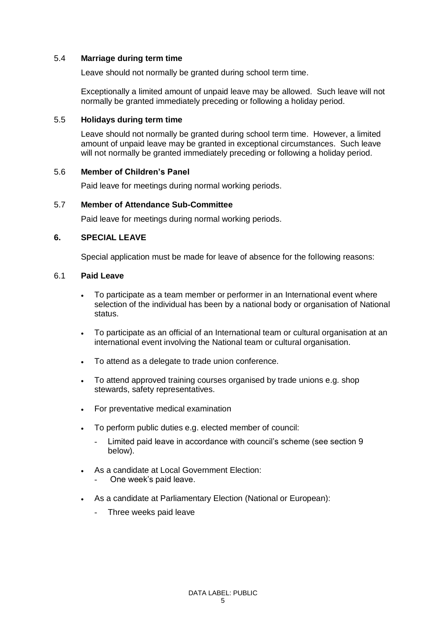### 5.4 **Marriage during term time**

Leave should not normally be granted during school term time.

Exceptionally a limited amount of unpaid leave may be allowed. Such leave will not normally be granted immediately preceding or following a holiday period.

#### 5.5 **Holidays during term time**

Leave should not normally be granted during school term time. However, a limited amount of unpaid leave may be granted in exceptional circumstances. Such leave will not normally be granted immediately preceding or following a holiday period.

#### 5.6 **Member of Children's Panel**

Paid leave for meetings during normal working periods.

#### 5.7 **Member of Attendance Sub-Committee**

Paid leave for meetings during normal working periods.

### **6. SPECIAL LEAVE**

Special application must be made for leave of absence for the following reasons:

#### 6.1 **Paid Leave**

- To participate as a team member or performer in an International event where selection of the individual has been by a national body or organisation of National status.
- To participate as an official of an International team or cultural organisation at an international event involving the National team or cultural organisation.
- To attend as a delegate to trade union conference.
- To attend approved training courses organised by trade unions e.g. shop stewards, safety representatives.
- For preventative medical examination
- To perform public duties e.g. elected member of council:
	- Limited paid leave in accordance with council's scheme (see section 9 below).
- As a candidate at Local Government Election:
	- One week's paid leave.
- As a candidate at Parliamentary Election (National or European):
	- Three weeks paid leave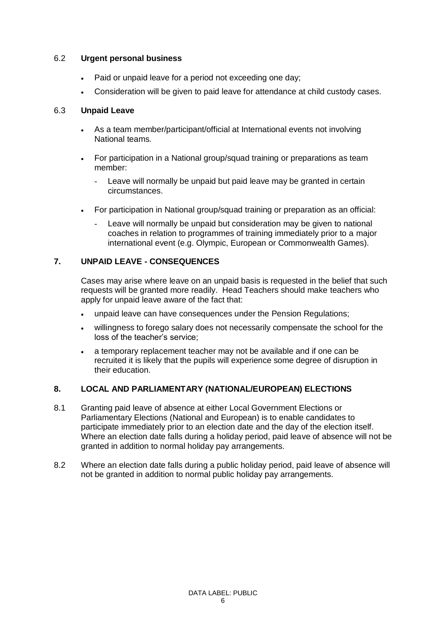### 6.2 **Urgent personal business**

- Paid or unpaid leave for a period not exceeding one day;
- Consideration will be given to paid leave for attendance at child custody cases.

## 6.3 **Unpaid Leave**

- As a team member/participant/official at International events not involving National teams.
- For participation in a National group/squad training or preparations as team member:
	- Leave will normally be unpaid but paid leave may be granted in certain circumstances.
- For participation in National group/squad training or preparation as an official:
	- Leave will normally be unpaid but consideration may be given to national coaches in relation to programmes of training immediately prior to a major international event (e.g. Olympic, European or Commonwealth Games).

# **7. UNPAID LEAVE - CONSEQUENCES**

Cases may arise where leave on an unpaid basis is requested in the belief that such requests will be granted more readily. Head Teachers should make teachers who apply for unpaid leave aware of the fact that:

- unpaid leave can have consequences under the Pension Regulations;
- willingness to forego salary does not necessarily compensate the school for the loss of the teacher's service;
- a temporary replacement teacher may not be available and if one can be recruited it is likely that the pupils will experience some degree of disruption in their education.

# **8. LOCAL AND PARLIAMENTARY (NATIONAL/EUROPEAN) ELECTIONS**

- 8.1 Granting paid leave of absence at either Local Government Elections or Parliamentary Elections (National and European) is to enable candidates to participate immediately prior to an election date and the day of the election itself. Where an election date falls during a holiday period, paid leave of absence will not be granted in addition to normal holiday pay arrangements.
- 8.2 Where an election date falls during a public holiday period, paid leave of absence will not be granted in addition to normal public holiday pay arrangements.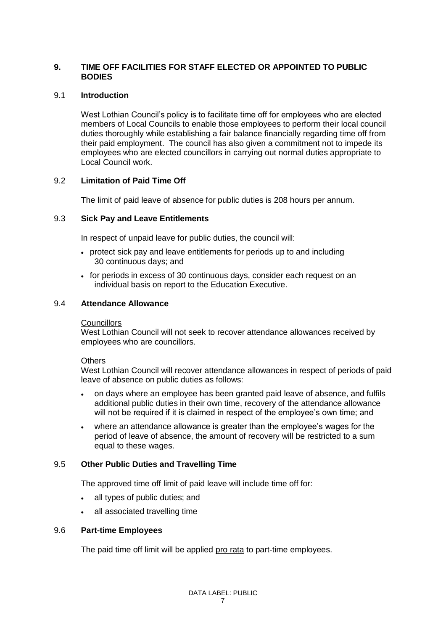## **9. TIME OFF FACILITIES FOR STAFF ELECTED OR APPOINTED TO PUBLIC BODIES**

## 9.1 **Introduction**

West Lothian Council's policy is to facilitate time off for employees who are elected members of Local Councils to enable those employees to perform their local council duties thoroughly while establishing a fair balance financially regarding time off from their paid employment. The council has also given a commitment not to impede its employees who are elected councillors in carrying out normal duties appropriate to Local Council work.

## 9.2 **Limitation of Paid Time Off**

The limit of paid leave of absence for public duties is 208 hours per annum.

## 9.3 **Sick Pay and Leave Entitlements**

In respect of unpaid leave for public duties, the council will:

- protect sick pay and leave entitlements for periods up to and including 30 continuous days; and
- for periods in excess of 30 continuous days, consider each request on an individual basis on report to the Education Executive.

### 9.4 **Attendance Allowance**

### **Councillors**

West Lothian Council will not seek to recover attendance allowances received by employees who are councillors.

### **Others**

West Lothian Council will recover attendance allowances in respect of periods of paid leave of absence on public duties as follows:

- on days where an employee has been granted paid leave of absence, and fulfils additional public duties in their own time, recovery of the attendance allowance will not be required if it is claimed in respect of the employee's own time; and
- where an attendance allowance is greater than the employee's wages for the period of leave of absence, the amount of recovery will be restricted to a sum equal to these wages.

# 9.5 **Other Public Duties and Travelling Time**

The approved time off limit of paid leave will include time off for:

- all types of public duties; and
- all associated travelling time

### 9.6 **Part-time Employees**

The paid time off limit will be applied pro rata to part-time employees.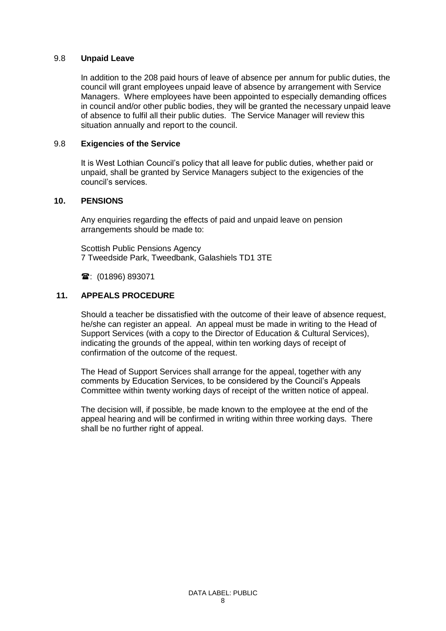#### 9.8 **Unpaid Leave**

In addition to the 208 paid hours of leave of absence per annum for public duties, the council will grant employees unpaid leave of absence by arrangement with Service Managers. Where employees have been appointed to especially demanding offices in council and/or other public bodies, they will be granted the necessary unpaid leave of absence to fulfil all their public duties. The Service Manager will review this situation annually and report to the council.

## 9.8 **Exigencies of the Service**

It is West Lothian Council's policy that all leave for public duties, whether paid or unpaid, shall be granted by Service Managers subject to the exigencies of the council's services.

#### **10. PENSIONS**

Any enquiries regarding the effects of paid and unpaid leave on pension arrangements should be made to:

Scottish Public Pensions Agency 7 Tweedside Park, Tweedbank, Galashiels TD1 3TE

**雪**: (01896) 893071

#### **11. APPEALS PROCEDURE**

Should a teacher be dissatisfied with the outcome of their leave of absence request, he/she can register an appeal. An appeal must be made in writing to the Head of Support Services (with a copy to the Director of Education & Cultural Services), indicating the grounds of the appeal, within ten working days of receipt of confirmation of the outcome of the request.

The Head of Support Services shall arrange for the appeal, together with any comments by Education Services, to be considered by the Council's Appeals Committee within twenty working days of receipt of the written notice of appeal.

The decision will, if possible, be made known to the employee at the end of the appeal hearing and will be confirmed in writing within three working days. There shall be no further right of appeal.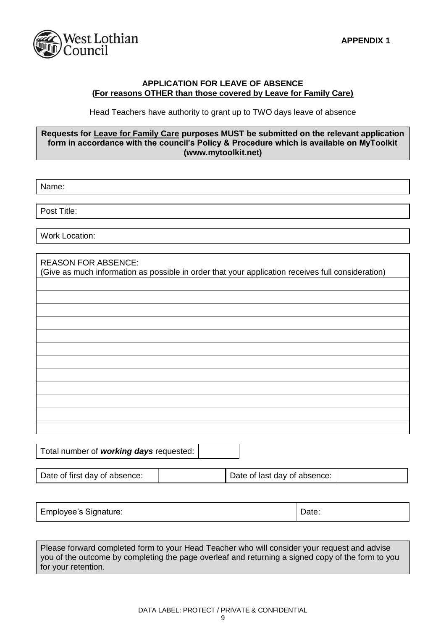

### **APPLICATION FOR LEAVE OF ABSENCE (For reasons OTHER than those covered by Leave for Family Care)**

Head Teachers have authority to grant up to TWO days leave of absence

#### **Requests for Leave for Family Care purposes MUST be submitted on the relevant application form in accordance with the council's Policy & Procedure which is available on MyToolkit (www.mytoolkit.net)**

Name:

Post Title:

Work Location:

| <b>REASON FOR ABSENCE:</b>                                                                        |
|---------------------------------------------------------------------------------------------------|
| (Give as much information as possible in order that your application receives full consideration) |
|                                                                                                   |

Total number of *working days* requested:

| Date of last day of absence:<br>Date of first day of absence: |
|---------------------------------------------------------------|
|---------------------------------------------------------------|

| Employee's Signature: | Date: |
|-----------------------|-------|
|-----------------------|-------|

Please forward completed form to your Head Teacher who will consider your request and advise you of the outcome by completing the page overleaf and returning a signed copy of the form to you for your retention.